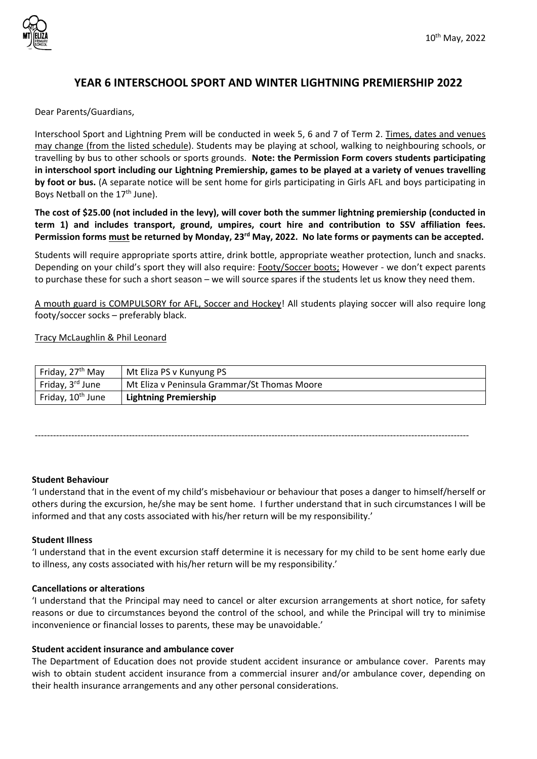

# **YEAR 6 INTERSCHOOL SPORT AND WINTER LIGHTNING PREMIERSHIP 2022**

Dear Parents/Guardians,

Interschool Sport and Lightning Prem will be conducted in week 5, 6 and 7 of Term 2. Times, dates and venues may change (from the listed schedule). Students may be playing at school, walking to neighbouring schools, or travelling by bus to other schools or sports grounds. **Note: the Permission Form covers students participating in interschool sport including our Lightning Premiership, games to be played at a variety of venues travelling by foot or bus.** (A separate notice will be sent home for girls participating in Girls AFL and boys participating in Boys Netball on the 17<sup>th</sup> June).

**The cost of \$25.00 (not included in the levy), will cover both the summer lightning premiership (conducted in term 1) and includes transport, ground, umpires, court hire and contribution to SSV affiliation fees. Permission forms must be returned by Monday, 23rd May, 2022. No late forms or payments can be accepted.**

Students will require appropriate sports attire, drink bottle, appropriate weather protection, lunch and snacks. Depending on your child's sport they will also require: Footy/Soccer boots; However - we don't expect parents to purchase these for such a short season – we will source spares if the students let us know they need them.

A mouth guard is COMPULSORY for AFL, Soccer and Hockey! All students playing soccer will also require long footy/soccer socks – preferably black.

Tracy McLaughlin & Phil Leonard

| Friday, 27 <sup>th</sup> May  | Mt Eliza PS v Kunyung PS                     |
|-------------------------------|----------------------------------------------|
| Friday, 3 <sup>rd</sup> June  | Mt Eliza v Peninsula Grammar/St Thomas Moore |
| Friday, 10 <sup>th</sup> June | <b>Lightning Premiership</b>                 |

-----------------------------------------------------------------------------------------------------------------------------------------------

### **Student Behaviour**

'I understand that in the event of my child's misbehaviour or behaviour that poses a danger to himself/herself or others during the excursion, he/she may be sent home. I further understand that in such circumstances I will be informed and that any costs associated with his/her return will be my responsibility.'

### **Student Illness**

'I understand that in the event excursion staff determine it is necessary for my child to be sent home early due to illness, any costs associated with his/her return will be my responsibility.'

### **Cancellations or alterations**

'I understand that the Principal may need to cancel or alter excursion arrangements at short notice, for safety reasons or due to circumstances beyond the control of the school, and while the Principal will try to minimise inconvenience or financial losses to parents, these may be unavoidable.'

### **Student accident insurance and ambulance cover**

The Department of Education does not provide student accident insurance or ambulance cover. Parents may wish to obtain student accident insurance from a commercial insurer and/or ambulance cover, depending on their health insurance arrangements and any other personal considerations.